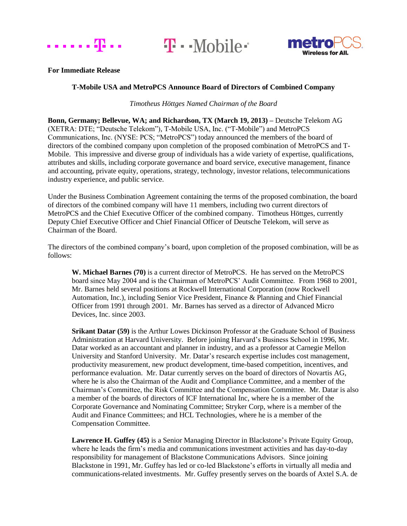

 $\mathbf{T}$  - Mobile  $\cdot$ 



### **For Immediate Release**

### **T-Mobile USA and MetroPCS Announce Board of Directors of Combined Company**

*Timotheus Höttges Named Chairman of the Board* 

**Bonn, Germany; Bellevue, WA; and Richardson, TX (March 19, 2013) –** Deutsche Telekom AG (XETRA: DTE; "Deutsche Telekom"), T-Mobile USA, Inc. ("T-Mobile") and MetroPCS Communications, Inc. (NYSE: PCS; "MetroPCS") today announced the members of the board of directors of the combined company upon completion of the proposed combination of MetroPCS and T-Mobile. This impressive and diverse group of individuals has a wide variety of expertise, qualifications, attributes and skills, including corporate governance and board service, executive management, finance and accounting, private equity, operations, strategy, technology, investor relations, telecommunications industry experience, and public service.

Under the Business Combination Agreement containing the terms of the proposed combination, the board of directors of the combined company will have 11 members, including two current directors of MetroPCS and the Chief Executive Officer of the combined company. Timotheus Höttges, currently Deputy Chief Executive Officer and Chief Financial Officer of Deutsche Telekom, will serve as Chairman of the Board.

The directors of the combined company's board, upon completion of the proposed combination, will be as follows:

**W. Michael Barnes (70)** is a current director of MetroPCS. He has served on the MetroPCS board since May 2004 and is the Chairman of MetroPCS' Audit Committee. From 1968 to 2001, Mr. Barnes held several positions at Rockwell International Corporation (now Rockwell Automation, Inc.), including Senior Vice President, Finance & Planning and Chief Financial Officer from 1991 through 2001. Mr. Barnes has served as a director of Advanced Micro Devices, Inc. since 2003.

**Srikant Datar (59)** is the Arthur Lowes Dickinson Professor at the Graduate School of Business Administration at Harvard University. Before joining Harvard's Business School in 1996, Mr. Datar worked as an accountant and planner in industry, and as a professor at Carnegie Mellon University and Stanford University. Mr. Datar's research expertise includes cost management, productivity measurement, new product development, time-based competition, incentives, and performance evaluation. Mr. Datar currently serves on the board of directors of Novartis AG, where he is also the Chairman of the Audit and Compliance Committee, and a member of the Chairman's Committee, the Risk Committee and the Compensation Committee. Mr. Datar is also a member of the boards of directors of ICF International Inc, where he is a member of the Corporate Governance and Nominating Committee; Stryker Corp, where is a member of the Audit and Finance Committees; and HCL Technologies, where he is a member of the Compensation Committee.

**Lawrence H. Guffey (45)** is a Senior Managing Director in Blackstone's Private Equity Group, where he leads the firm's media and communications investment activities and has day-to-day responsibility for management of Blackstone Communications Advisors. Since joining Blackstone in 1991, Mr. Guffey has led or co-led Blackstone's efforts in virtually all media and communications-related investments. Mr. Guffey presently serves on the boards of Axtel S.A. de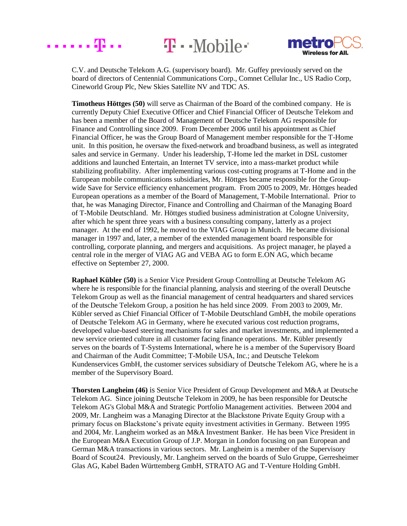# $\mathbf{T}$  - Mobile -

. . . . . . **.**p. . .



C.V. and Deutsche Telekom A.G. (supervisory board). Mr. Guffey previously served on the board of directors of Centennial Communications Corp., Comnet Cellular Inc., US Radio Corp, Cineworld Group Plc, New Skies Satellite NV and TDC AS.

**Timotheus Höttges (50)** will serve as Chairman of the Board of the combined company. He is currently Deputy Chief Executive Officer and Chief Financial Officer of Deutsche Telekom and has been a member of the Board of Management of Deutsche Telekom AG responsible for Finance and Controlling since 2009. From December 2006 until his appointment as Chief Financial Officer, he was the Group Board of Management member responsible for the T-Home unit. In this position, he oversaw the fixed-network and broadband business, as well as integrated sales and service in Germany. Under his leadership, T-Home led the market in DSL customer additions and launched Entertain, an Internet TV service, into a mass-market product while stabilizing profitability. After implementing various cost-cutting programs at T-Home and in the European mobile communications subsidiaries, Mr. Höttges became responsible for the Groupwide Save for Service efficiency enhancement program. From 2005 to 2009, Mr. Höttges headed European operations as a member of the Board of Management, T-Mobile International. Prior to that, he was Managing Director, Finance and Controlling and Chairman of the Managing Board of T-Mobile Deutschland. Mr. Höttges studied business administration at Cologne University, after which he spent three years with a business consulting company, latterly as a project manager. At the end of 1992, he moved to the VIAG Group in Munich. He became divisional manager in 1997 and, later, a member of the extended management board responsible for controlling, corporate planning, and mergers and acquisitions. As project manager, he played a central role in the merger of VIAG AG and VEBA AG to form E.ON AG, which became effective on September 27, 2000.

**Raphael Kübler (50)** is a Senior Vice President Group Controlling at Deutsche Telekom AG where he is responsible for the financial planning, analysis and steering of the overall Deutsche Telekom Group as well as the financial management of central headquarters and shared services of the Deutsche Telekom Group, a position he has held since 2009. From 2003 to 2009, Mr. Kübler served as Chief Financial Officer of T-Mobile Deutschland GmbH, the mobile operations of Deutsche Telekom AG in Germany, where he executed various cost reduction programs, developed value-based steering mechanisms for sales and market investments, and implemented a new service oriented culture in all customer facing finance operations. Mr. Kübler presently serves on the boards of T-Systems International, where he is a member of the Supervisory Board and Chairman of the Audit Committee; T-Mobile USA, Inc.; and Deutsche Telekom Kundenservices GmbH, the customer services subsidiary of Deutsche Telekom AG, where he is a member of the Supervisory Board.

**Thorsten Langheim (46)** is Senior Vice President of Group Development and M&A at Deutsche Telekom AG. Since joining Deutsche Telekom in 2009, he has been responsible for Deutsche Telekom AG's Global M&A and Strategic Portfolio Management activities. Between 2004 and 2009, Mr. Langheim was a Managing Director at the Blackstone Private Equity Group with a primary focus on Blackstone's private equity investment activities in Germany. Between 1995 and 2004, Mr. Langheim worked as an M&A Investment Banker. He has been Vice President in the European M&A Execution Group of J.P. Morgan in London focusing on pan European and German M&A transactions in various sectors. Mr. Langheim is a member of the Supervisory Board of Scout24. Previously, Mr. Langheim served on the boards of Sulo Gruppe, Gerresheimer Glas AG, Kabel Baden Württemberg GmbH, STRATO AG and T-Venture Holding GmbH.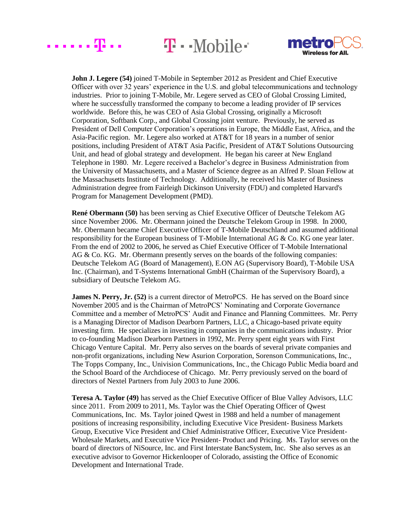

. . . . . . **.**p. . .



**John J. Legere (54)** joined T-Mobile in September 2012 as President and Chief Executive Officer with over 32 years' experience in the U.S. and global telecommunications and technology industries. Prior to joining T-Mobile, Mr. Legere served as CEO of Global Crossing Limited, where he successfully transformed the company to become a leading provider of IP services worldwide. Before this, he was CEO of Asia Global Crossing, originally a Microsoft Corporation, Softbank Corp., and Global Crossing joint venture. Previously, he served as President of Dell Computer Corporation's operations in Europe, the Middle East, Africa, and the Asia-Pacific region. Mr. Legere also worked at AT&T for 18 years in a number of senior positions, including President of AT&T Asia Pacific, President of AT&T Solutions Outsourcing Unit, and head of global strategy and development. He began his career at New England Telephone in 1980. Mr. Legere received a Bachelor's degree in Business Administration from the University of Massachusetts, and a Master of Science degree as an Alfred P. Sloan Fellow at the Massachusetts Institute of Technology. Additionally, he received his Master of Business Administration degree from Fairleigh Dickinson University (FDU) and completed Harvard's Program for Management Development (PMD).

**René Obermann (50)** has been serving as Chief Executive Officer of Deutsche Telekom AG since November 2006. Mr. Obermann joined the Deutsche Telekom Group in 1998. In 2000, Mr. Obermann became Chief Executive Officer of T-Mobile Deutschland and assumed additional responsibility for the European business of T-Mobile International AG & Co. KG one year later. From the end of 2002 to 2006, he served as Chief Executive Officer of T-Mobile International AG & Co. KG. Mr. Obermann presently serves on the boards of the following companies: Deutsche Telekom AG (Board of Management), E.ON AG (Supervisory Board), T-Mobile USA Inc. (Chairman), and T-Systems International GmbH (Chairman of the Supervisory Board), a subsidiary of Deutsche Telekom AG.

**James N. Perry, Jr. (52)** is a current director of MetroPCS. He has served on the Board since November 2005 and is the Chairman of MetroPCS' Nominating and Corporate Governance Committee and a member of MetroPCS' Audit and Finance and Planning Committees. Mr. Perry is a Managing Director of Madison Dearborn Partners, LLC, a Chicago-based private equity investing firm. He specializes in investing in companies in the communications industry. Prior to co-founding Madison Dearborn Partners in 1992, Mr. Perry spent eight years with First Chicago Venture Capital. Mr. Perry also serves on the boards of several private companies and non-profit organizations, including New Asurion Corporation, Sorenson Communications, Inc., The Topps Company, Inc., Univision Communications, Inc., the Chicago Public Media board and the School Board of the Archdiocese of Chicago. Mr. Perry previously served on the board of directors of Nextel Partners from July 2003 to June 2006.

**Teresa A. Taylor (49)** has served as the Chief Executive Officer of Blue Valley Advisors, LLC since 2011. From 2009 to 2011, Ms. Taylor was the Chief Operating Officer of Qwest Communications, Inc. Ms. Taylor joined Qwest in 1988 and held a number of management positions of increasing responsibility, including Executive Vice President- Business Markets Group, Executive Vice President and Chief Administrative Officer, Executive Vice President-Wholesale Markets, and Executive Vice President- Product and Pricing. Ms. Taylor serves on the board of directors of NiSource, Inc. and First Interstate BancSystem, Inc. She also serves as an executive advisor to Governor Hickenlooper of Colorado, assisting the Office of Economic Development and International Trade.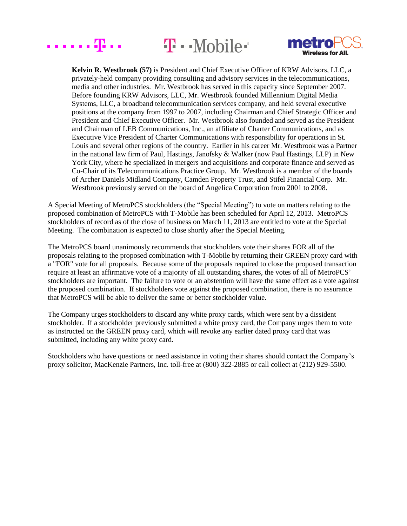

 $\mathbf{T}$  - Mobile -



**Kelvin R. Westbrook (57)** is President and Chief Executive Officer of KRW Advisors, LLC, a privately-held company providing consulting and advisory services in the telecommunications, media and other industries. Mr. Westbrook has served in this capacity since September 2007. Before founding KRW Advisors, LLC, Mr. Westbrook founded Millennium Digital Media Systems, LLC, a broadband telecommunication services company, and held several executive positions at the company from 1997 to 2007, including Chairman and Chief Strategic Officer and President and Chief Executive Officer. Mr. Westbrook also founded and served as the President and Chairman of LEB Communications, Inc., an affiliate of Charter Communications, and as Executive Vice President of Charter Communications with responsibility for operations in St. Louis and several other regions of the country. Earlier in his career Mr. Westbrook was a Partner in the national law firm of Paul, Hastings, Janofsky & Walker (now Paul Hastings, LLP) in New York City, where he specialized in mergers and acquisitions and corporate finance and served as Co-Chair of its Telecommunications Practice Group. Mr. Westbrook is a member of the boards of Archer Daniels Midland Company, Camden Property Trust, and Stifel Financial Corp. Mr. Westbrook previously served on the board of Angelica Corporation from 2001 to 2008.

A Special Meeting of MetroPCS stockholders (the "Special Meeting") to vote on matters relating to the proposed combination of MetroPCS with T-Mobile has been scheduled for April 12, 2013. MetroPCS stockholders of record as of the close of business on March 11, 2013 are entitled to vote at the Special Meeting. The combination is expected to close shortly after the Special Meeting.

The MetroPCS board unanimously recommends that stockholders vote their shares FOR all of the proposals relating to the proposed combination with T-Mobile by returning their GREEN proxy card with a "FOR" vote for all proposals. Because some of the proposals required to close the proposed transaction require at least an affirmative vote of a majority of all outstanding shares, the votes of all of MetroPCS' stockholders are important. The failure to vote or an abstention will have the same effect as a vote against the proposed combination. If stockholders vote against the proposed combination, there is no assurance that MetroPCS will be able to deliver the same or better stockholder value.

The Company urges stockholders to discard any white proxy cards, which were sent by a dissident stockholder. If a stockholder previously submitted a white proxy card, the Company urges them to vote as instructed on the GREEN proxy card, which will revoke any earlier dated proxy card that was submitted, including any white proxy card.

Stockholders who have questions or need assistance in voting their shares should contact the Company's proxy solicitor, MacKenzie Partners, Inc. toll-free at (800) 322-2885 or call collect at (212) 929-5500.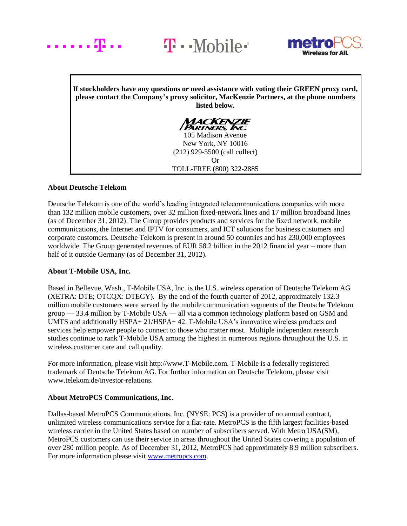

 $T - Mobile -$ 





### **About Deutsche Telekom**

Deutsche Telekom is one of the world's leading integrated telecommunications companies with more than 132 million mobile customers, over 32 million fixed-network lines and 17 million broadband lines (as of December 31, 2012). The Group provides products and services for the fixed network, mobile communications, the Internet and IPTV for consumers, and ICT solutions for business customers and corporate customers. Deutsche Telekom is present in around 50 countries and has 230,000 employees worldwide. The Group generated revenues of EUR 58.2 billion in the 2012 financial year – more than half of it outside Germany (as of December 31, 2012).

### **About T-Mobile USA, Inc.**

Based in Bellevue, Wash., T-Mobile USA, Inc. is the U.S. wireless operation of Deutsche Telekom AG (XETRA: DTE; OTCQX: DTEGY). By the end of the fourth quarter of 2012, approximately 132.3 million mobile customers were served by the mobile communication segments of the Deutsche Telekom group — 33.4 million by T-Mobile USA — all via a common technology platform based on GSM and UMTS and additionally HSPA+ 21/HSPA+ 42. T-Mobile USA's innovative wireless products and services help empower people to connect to those who matter most. Multiple independent research studies continue to rank T-Mobile USA among the highest in numerous regions throughout the U.S. in wireless customer care and call quality.

For more information, please visit http://www.T-Mobile.com. T-Mobile is a federally registered trademark of Deutsche Telekom AG. For further information on Deutsche Telekom, please visit www.telekom.de/investor-relations.

### **About MetroPCS Communications, Inc.**

Dallas-based MetroPCS Communications, Inc. (NYSE: PCS) is a provider of no annual contract, unlimited wireless communications service for a flat-rate. MetroPCS is the fifth largest facilities-based wireless carrier in the United States based on number of subscribers served. With Metro USA(SM), MetroPCS customers can use their service in areas throughout the United States covering a population of over 280 million people. As of December 31, 2012, MetroPCS had approximately 8.9 million subscribers. For more information please visit www.metropcs.com.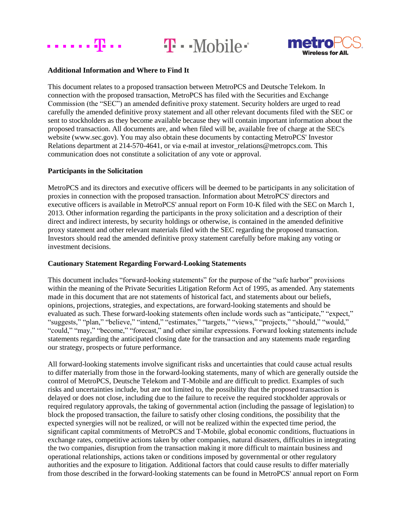## . . . . . . **T** . .

 $\mathbf{F}$  - Mobile  $\cdot$ 



### **Additional Information and Where to Find It**

This document relates to a proposed transaction between MetroPCS and Deutsche Telekom. In connection with the proposed transaction, MetroPCS has filed with the Securities and Exchange Commission (the "SEC") an amended definitive proxy statement. Security holders are urged to read carefully the amended definitive proxy statement and all other relevant documents filed with the SEC or sent to stockholders as they become available because they will contain important information about the proposed transaction. All documents are, and when filed will be, available free of charge at the SEC's website (www.sec.gov). You may also obtain these documents by contacting MetroPCS' Investor Relations department at 214-570-4641, or via e-mail at investor relations@metropcs.com. This communication does not constitute a solicitation of any vote or approval.

### **Participants in the Solicitation**

MetroPCS and its directors and executive officers will be deemed to be participants in any solicitation of proxies in connection with the proposed transaction. Information about MetroPCS' directors and executive officers is available in MetroPCS' annual report on Form 10-K filed with the SEC on March 1, 2013. Other information regarding the participants in the proxy solicitation and a description of their direct and indirect interests, by security holdings or otherwise, is contained in the amended definitive proxy statement and other relevant materials filed with the SEC regarding the proposed transaction. Investors should read the amended definitive proxy statement carefully before making any voting or investment decisions.

### **Cautionary Statement Regarding Forward-Looking Statements**

This document includes "forward-looking statements" for the purpose of the "safe harbor" provisions within the meaning of the Private Securities Litigation Reform Act of 1995, as amended. Any statements made in this document that are not statements of historical fact, and statements about our beliefs, opinions, projections, strategies, and expectations, are forward-looking statements and should be evaluated as such. These forward-looking statements often include words such as "anticipate," "expect," "suggests," "plan," "believe," "intend," "estimates," "targets," "views," "projects," "should," "would," "could," "may," "become," "forecast," and other similar expressions. Forward looking statements include statements regarding the anticipated closing date for the transaction and any statements made regarding our strategy, prospects or future performance.

All forward-looking statements involve significant risks and uncertainties that could cause actual results to differ materially from those in the forward-looking statements, many of which are generally outside the control of MetroPCS, Deutsche Telekom and T-Mobile and are difficult to predict. Examples of such risks and uncertainties include, but are not limited to, the possibility that the proposed transaction is delayed or does not close, including due to the failure to receive the required stockholder approvals or required regulatory approvals, the taking of governmental action (including the passage of legislation) to block the proposed transaction, the failure to satisfy other closing conditions, the possibility that the expected synergies will not be realized, or will not be realized within the expected time period, the significant capital commitments of MetroPCS and T-Mobile, global economic conditions, fluctuations in exchange rates, competitive actions taken by other companies, natural disasters, difficulties in integrating the two companies, disruption from the transaction making it more difficult to maintain business and operational relationships, actions taken or conditions imposed by governmental or other regulatory authorities and the exposure to litigation. Additional factors that could cause results to differ materially from those described in the forward-looking statements can be found in MetroPCS' annual report on Form